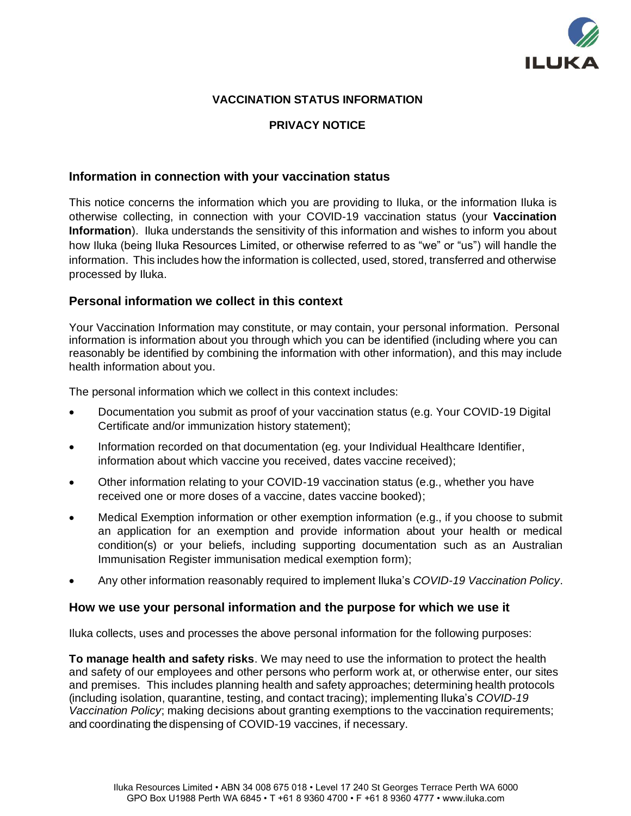

# **VACCINATION STATUS INFORMATION**

#### **PRIVACY NOTICE**

### **Information in connection with your vaccination status**

This notice concerns the information which you are providing to Iluka, or the information Iluka is otherwise collecting, in connection with your COVID-19 vaccination status (your **Vaccination Information**). Iluka understands the sensitivity of this information and wishes to inform you about how Iluka (being Iluka Resources Limited, or otherwise referred to as "we" or "us") will handle the information. This includes how the information is collected, used, stored, transferred and otherwise processed by Iluka.

### **Personal information we collect in this context**

Your Vaccination Information may constitute, or may contain, your personal information. Personal information is information about you through which you can be identified (including where you can reasonably be identified by combining the information with other information), and this may include health information about you.

The personal information which we collect in this context includes:

- Documentation you submit as proof of your vaccination status (e.g. Your COVID-19 Digital Certificate and/or immunization history statement);
- Information recorded on that documentation (eg. your Individual Healthcare Identifier, information about which vaccine you received, dates vaccine received);
- Other information relating to your COVID-19 vaccination status (e.g., whether you have received one or more doses of a vaccine, dates vaccine booked);
- Medical Exemption information or other exemption information (e.g., if you choose to submit an application for an exemption and provide information about your health or medical condition(s) or your beliefs, including supporting documentation such as an Australian Immunisation Register immunisation medical exemption form);
- Any other information reasonably required to implement Iluka's *COVID-19 Vaccination Policy*.

#### **How we use your personal information and the purpose for which we use it**

Iluka collects, uses and processes the above personal information for the following purposes:

**To manage health and safety risks**. We may need to use the information to protect the health and safety of our employees and other persons who perform work at, or otherwise enter, our sites and premises. This includes planning health and safety approaches; determining health protocols (including isolation, quarantine, testing, and contact tracing); implementing Iluka's *COVID-19 Vaccination Policy*; making decisions about granting exemptions to the vaccination requirements; and coordinating the dispensing of COVID-19 vaccines, if necessary.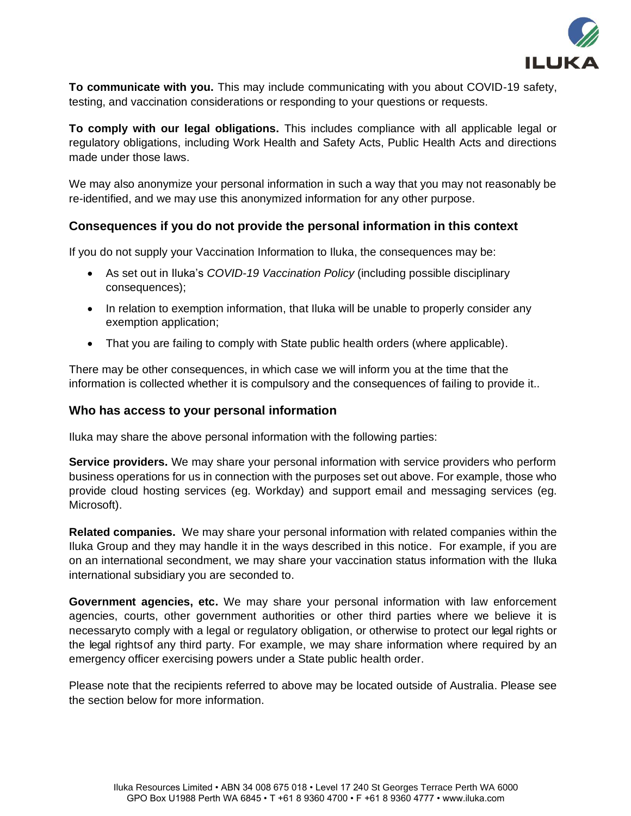

**To communicate with you.** This may include communicating with you about COVID-19 safety, testing, and vaccination considerations or responding to your questions or requests.

**To comply with our legal obligations.** This includes compliance with all applicable legal or regulatory obligations, including Work Health and Safety Acts, Public Health Acts and directions made under those laws.

We may also anonymize your personal information in such a way that you may not reasonably be re-identified, and we may use this anonymized information for any other purpose.

## **Consequences if you do not provide the personal information in this context**

If you do not supply your Vaccination Information to Iluka, the consequences may be:

- As set out in Iluka's *COVID-19 Vaccination Policy* (including possible disciplinary consequences);
- In relation to exemption information, that Iluka will be unable to properly consider any exemption application;
- That you are failing to comply with State public health orders (where applicable).

There may be other consequences, in which case we will inform you at the time that the information is collected whether it is compulsory and the consequences of failing to provide it..

### **Who has access to your personal information**

Iluka may share the above personal information with the following parties:

**Service providers.** We may share your personal information with service providers who perform business operations for us in connection with the purposes set out above. For example, those who provide cloud hosting services (eg. Workday) and support email and messaging services (eg. Microsoft).

**Related companies.** We may share your personal information with related companies within the Iluka Group and they may handle it in the ways described in this notice. For example, if you are on an international secondment, we may share your vaccination status information with the Iluka international subsidiary you are seconded to.

**Government agencies, etc.** We may share your personal information with law enforcement agencies, courts, other government authorities or other third parties where we believe it is necessaryto comply with a legal or regulatory obligation, or otherwise to protect our legal rights or the legal rightsof any third party. For example, we may share information where required by an emergency officer exercising powers under a State public health order.

Please note that the recipients referred to above may be located outside of Australia. Please see the section below for more information.